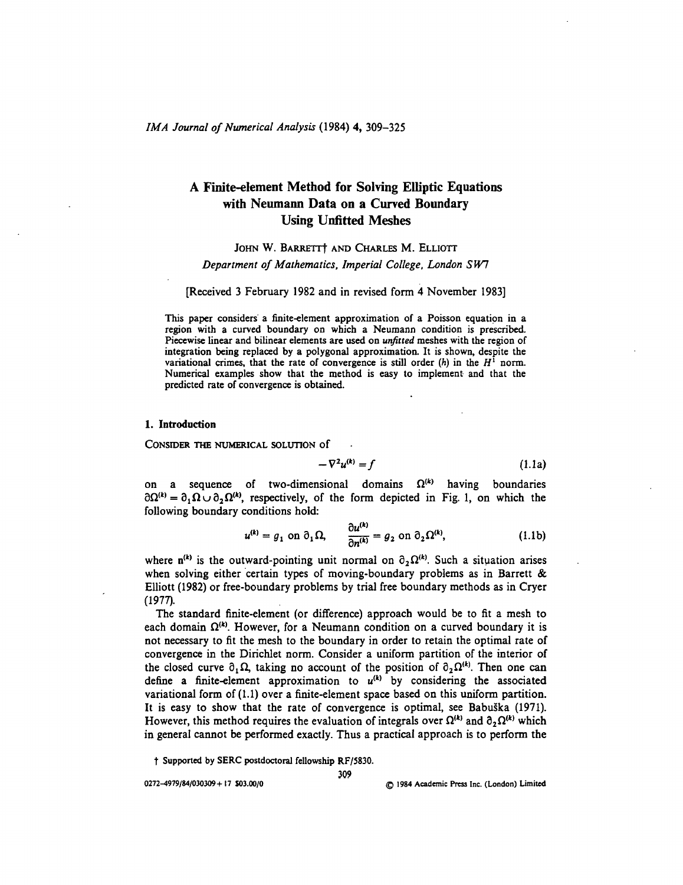# **A Finite-element Method for Solving Elliptic Equations with Neumann Data on a Curved Boundary Using Unfitted Meshes**

### JOHN W. BARRETTT AND CHARLES M. ELLIOTT

*Department of Mathematics, Imperial College, London SW1*

[Received 3 February 1982 and in revised form 4 November 1983]

This paper considers' a finite-element approximation of a Poisson equation in a region with a curved boundary on which a Neumann condition is prescribed. Piecewise linear and bilinear elements are used on *unfitted* meshes with the region of integration being replaced by a polygonal approximation. It is shown, despite the variational crimes, that the rate of convergence is still order  $(h)$  in the  $H^1$  norm. Numerical examples show that the method is easy to implement and that the predicted rate of convergence is obtained.

#### 1. Introduction

CONSIDER THE NUMERICAL SOLUTION of

$$
-\nabla^2 u^{(k)} = f \tag{1.1a}
$$

on a sequence of two-dimensional domains  $\Omega^{(k)}$  having boundaries  $\partial\Omega^{(k)} = \partial_1\Omega \cup \partial_2\Omega^{(k)}$ , respectively, of the form depicted in Fig. 1, on which the following boundary conditions hold:

$$
u^{(k)} = g_1 \text{ on } \partial_1 \Omega, \qquad \frac{\partial u^{(k)}}{\partial n^{(k)}} = g_2 \text{ on } \partial_2 \Omega^{(k)}, \tag{1.1b}
$$

where  $n^{(k)}$  is the outward-pointing unit normal on  $\partial_2 \Omega^{(k)}$ . Such a situation arises when solving either certain types of moving-boundary problems as in Barrett & Elliott (1982) or free-boundary problems by trial free boundary methods as in Cryer (1977).

The standard finite-element (or difference) approach would be to fit a mesh to each domain  $\Omega^{(k)}$ . However, for a Neumann condition on a curved boundary it is not necessary to fit the mesh to the boundary in order to retain the optimal rate of convergence in the Dirichlet norm. Consider a uniform partition of the interior of the closed curve  $\partial_1 \Omega$ , taking no account of the position of  $\partial_2 \Omega^{(k)}$ . Then one can define a finite-element approximation to  $u^{(k)}$  by considering the associated variational form of (1.1) over a finite-element space based on this uniform partition. It is easy to show that the rate of convergence is optimal, see Babuska (1971). However, this method requires the evaluation of integrals over  $\Omega^{(k)}$  and  $\partial_2 \Omega^{(k)}$  which in general cannot be performed exactly. Thus a practical approach is to perform the

**t Supported by SERC postdoctoral fellowship RF/5830.**

**309**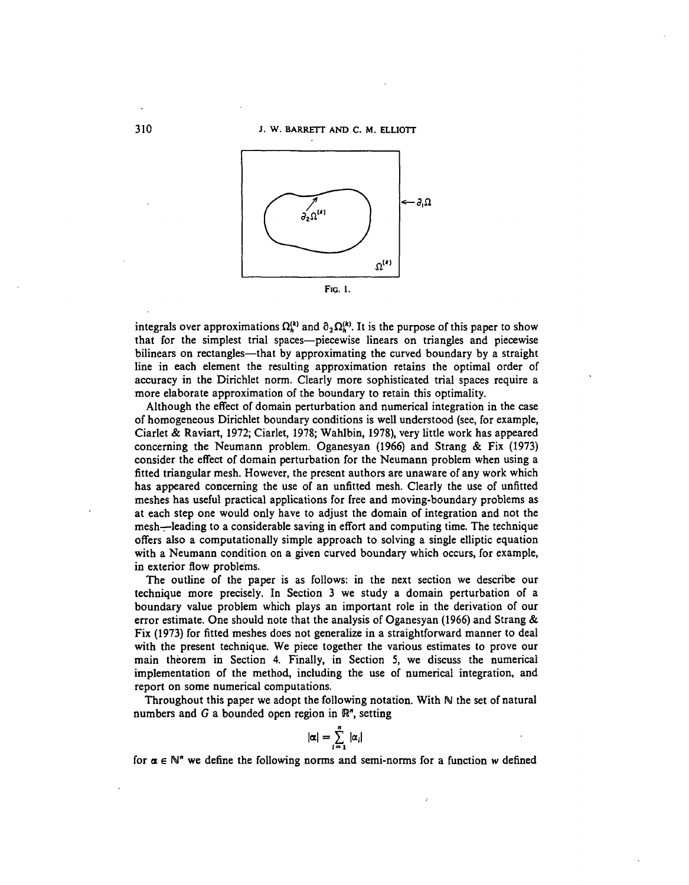

integrals over approximations  $\Omega_h^{(k)}$  and  $\partial_2 \Omega_h^{(k)}$ . It is the purpose of this paper to show that for the simplest trial spaces—piecewise linears on triangles and piecewise bilinears on rectangles—that by approximating the curved boundary by a straight line in each element the resulting approximation retains the optimal order of accuracy in the Dirichlet norm. Clearly more sophisticated trial spaces require a more elaborate approximation of the boundary to retain this optimality.

Although the effect of domain perturbation and numerical integration in the case of homogeneous Dirichlet boundary conditions is well understood (see, for example, Ciarlet & Raviart, 1972; Ciarlet, 1978; Wahlbin, 1978), very little work has appeared concerning the Neumann problem. Oganesyan (1966) and Strang & Fix (1973) consider the effect of domain perturbation for the Neumann problem when using a fitted triangular mesh. However, the present authors are unaware of any work which has appeared concerning the use of an unfitted mesh. Clearly the use of unfitted meshes has useful practical applications for free and moving-boundary problems as at each step one would only have to adjust the domain of integration and not the mesh—leading to a considerable saving in effort and computing time. The technique offers also a computationally simple approach to solving a single elliptic equation with a Neumann condition on a given curved boundary which occurs, for example, in exterior flow problems.

The outline of the paper is as follows: in the next section we describe our technique more precisely. In Section 3 we study a domain perturbation of a boundary value problem which plays an important role in the derivation of our error estimate. One should note that the analysis of Oganesyan (1966) and Strang & Fix (1973) for fitted meshes does not generalize in a straightforward manner to deal with the present technique. We piece together the various estimates to prove our main theorem in Section 4. Finally, in Section 5, we discuss the numerical implementation of the method, including the use of numerical integration, and report on some numerical computations.

Throughout this paper we adopt the following notation. With  $\mathbb N$  the set of natural numbers and  $G$  a bounded open region in  $\mathbb{R}^n$ , setting

$$
|\alpha|=\sum_{i=1}^n |\alpha_i|
$$

for  $\alpha \in \mathbb{N}^n$  we define the following norms and semi-norms for a function w defined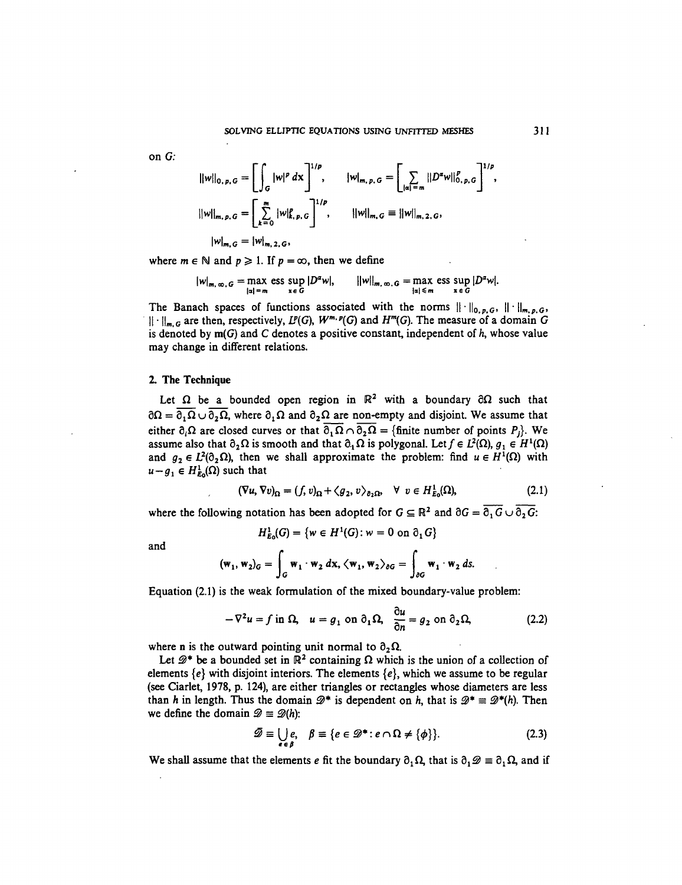on *G:*

$$
||w||_{0, p, G} = \left[ \int_G |w|^p \, dx \right]^{1/p}, \qquad |w|_{m, p, G} = \left[ \sum_{|\alpha| = m} ||D^{\alpha}w||_{0, p, G}^p \right]^{1/p},
$$
  

$$
||w||_{m, p, G} = \left[ \sum_{k=0}^m |w|_{k, p, G}^p \right]^{1/p}, \qquad ||w||_{m, G} = ||w||_{m, 2, G},
$$
  

$$
|w|_{m, G} = |w|_{m, 2, G},
$$

where  $m \in \mathbb{N}$  and  $p \ge 1$ . If  $p = \infty$ , then we define

$$
|w|_{m,\,\infty,\,G} = \max_{|\alpha| = m} \operatorname{ess} \sup_{x \in G} |D^{\alpha}w|, \qquad ||w||_{m,\,\infty,\,G} = \max_{|\alpha| \leq m} \operatorname{ess} \sup_{x \in G} |D^{\alpha}w|.
$$

The Banach spaces of functions associated with the norms  $\|\cdot\|_{0,p,G}$ ,  $\|\cdot\|_{m,p,G}$ ,  $|| \cdot ||_{m,G}$  are then, respectively,  $L^p(G)$ ,  $W^{m,p}(G)$  and  $H^m(G)$ . The measure of a domain G is denoted by m(G) and C denotes a positive constant, independent of *h,* whose value may change in different relations.

#### 2. The Technique

Let  $\Omega$  be a bounded open region in  $\mathbb{R}^2$  with a boundary  $\partial\Omega$  such that  $\partial\Omega = \overline{\partial_1\Omega} \cup \overline{\partial_2\Omega}$ , where  $\partial_1\Omega$  and  $\partial_2\Omega$  are non-empty and disjoint. We assume that either  $\partial_i \Omega$  are closed curves or that  $\overline{\partial_1 \Omega} \cap \overline{\partial_2 \Omega} =$  {finite number of points P<sub>i</sub>}. We assume also that  $\partial_2 \Omega$  is smooth and that  $\partial_1 \Omega$  is polygonal. Let  $f \in L^2(\Omega)$ ,  $g_1 \in H^1(\Omega)$ and  $g_2 \in L^2(0_2 \Omega)$ , then we shall approximate the problem: find  $u \in H^1(\Omega)$  with  $u - g_1 \in H^1_{E_0}(\Omega)$  such that

$$
(\nabla u, \nabla v)_{\Omega} = (f, v)_{\Omega} + \langle g_2, v \rangle_{\partial_2 \Omega}, \quad \forall \ v \in H^1_{E_0}(\Omega), \tag{2.1}
$$

where the following notation has been adopted for  $G \subseteq \mathbb{R}^2$  and  $\partial G = \overline{\partial_1 G} \cup \overline{\partial_2 G}$ :

$$
H^1_{E_0}(G) = \{ w \in H^1(G) : w = 0 \text{ on } \partial_1 G \}
$$

and

$$
(\mathbf{w}_1, \mathbf{w}_2)_G = \int_G \mathbf{w}_1 \cdot \mathbf{w}_2 \, d\mathbf{x}, \, \langle \mathbf{w}_1, \mathbf{w}_2 \rangle_{\partial G} = \int_{\partial G} \mathbf{w}_1 \cdot \mathbf{w}_2 \, ds.
$$

Equation (2.1) is the weak formulation of the mixed boundary-value problem:

$$
-\nabla^2 u = f \text{ in } \Omega, \quad u = g_1 \text{ on } \partial_1 \Omega, \quad \frac{\partial u}{\partial n} = g_2 \text{ on } \partial_2 \Omega,
$$
 (2.2)

where n is the outward pointing unit normal to  $\partial_2 \Omega$ .

Let  $\mathscr{D}^*$  be a bounded set in  $\mathbb{R}^2$  containing  $\Omega$  which is the union of a collection of elements {e} with disjoint interiors. The elements *{e},* which we assume to be regular (see Ciarlet, 1978, p. 124), are either triangles or rectangles whose diameters are less than *h* in length. Thus the domain  $\mathscr{D}^*$  is dependent on *h*, that is  $\mathscr{D}^* \equiv \mathscr{D}^*(h)$ . Then we define the domain  $\mathscr{D} \equiv \mathscr{D}(h)$ :

$$
\mathscr{D} \equiv \bigcup_{e \in \beta} e, \quad \beta \equiv \{e \in \mathscr{D}^* : e \cap \Omega \neq \{\phi\}\}.
$$
 (2.3)

We shall assume that the elements *e* fit the boundary  $\partial_1 \Omega$ , that is  $\partial_1 \mathcal{D} \equiv \partial_1 \Omega$ , and if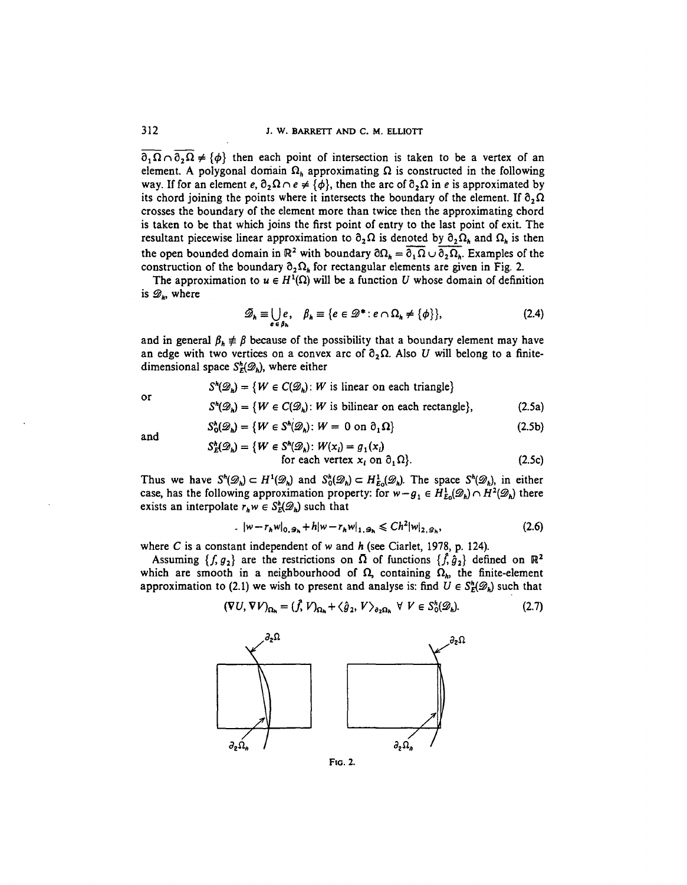$\partial_1 \Omega \cap \partial_2 \Omega \neq \{ \phi \}$  then each point of intersection is taken to be a vertex of an element. A polygonal domain  $\Omega_h$  approximating  $\Omega$  is constructed in the following way. If for an element  $e$ ,  $\partial_2 \Omega \cap e \neq {\phi}$ , then the arc of  $\partial_2 \Omega$  in *e* is approximated by its chord joining the points where it intersects the boundary of the element. If  $\partial_2 \Omega$ crosses the boundary of the element more than twice then the approximating chord is taken to be that which joins the first point of entry to the last point of exit. The resultant piecewise linear approximation to  $\partial_2\Omega$  is denoted by  $\partial_2\Omega_h$  and  $\Omega_h$  is then the open bounded domain in  $\mathbb{R}^2$  with boundary  $\partial \Omega_h = \overline{\partial_1 \Omega} \cup \overline{\partial_2 \Omega_h}$ . Examples of the construction of the boundary  $\partial_2\Omega_h$  for rectangular elements are given in Fig. 2.

The approximation to  $u \in H^1(\Omega)$  will be a function U whose domain of definition is  $\mathscr{D}_h$ , where

$$
\mathscr{D}_h \equiv \bigcup_{e \in \beta_h} e, \quad \beta_h \equiv \{e \in \mathscr{D}^* : e \cap \Omega_h \neq \{\phi\}\},\tag{2.4}
$$

and in general  $\beta_k \neq \beta$  because of the possibility that a boundary element may have an edge with two vertices on a convex arc of  $\partial_2 \Omega$ . Also U will belong to a finitedimensional space  $S^h_{\mathcal{E}}(\mathcal{D}_h)$ , where either

$$
S^{h}(\mathcal{D}_{h}) = \{ W \in C(\mathcal{D}_{h}) : W \text{ is linear on each triangle} \}
$$
  

$$
S^{h}(\mathcal{D}_{h}) = \{ W \in C(\mathcal{D}_{h}) : W \text{ is bilinear on each rectangle} \},
$$
 (2.5a)

or

$$
S_0^h(\mathcal{D}_h) = \{ W \in S^h(\mathcal{D}_h) \colon W = 0 \text{ on } \partial_1 \Omega \}
$$
 (2.5b)

and

$$
S_E^h(\mathcal{D}_h) = \{ W \in S^h(\mathcal{D}_h) : W(x_i) = g_1(x_i) \text{ for each vertex } x_i \text{ on } \partial_1 \Omega \}. \tag{2.5c}
$$

Thus we have  $S^h(\mathcal{D}_h) \subset H^1(\mathcal{D}_h)$  and  $S_0^h(\mathcal{D}_h) \subset H^1_{E_0}(\mathcal{D}_h)$ . The space  $S^h(\mathcal{D}_h)$ , in either case, has the following approximation property: for  $w - g_1 \in H_{E_0}^1(\mathscr{D}_h) \cap H^2(\mathscr{D}_h)$  there exists an interpolate  $r_h w \in S_E^h(\mathscr{D}_h)$  such that

$$
|w - r_h w|_{0, \mathcal{D}_h} + h|w - r_h w|_{1, \mathcal{D}_h} \leq C h^2 |w|_{2, \mathcal{D}_h},
$$
\n(2.6)

where *C* is a constant independent of w and *h* (see Ciarlet, 1978, p. 124).

Assuming  $\{f, g_2\}$  are the restrictions on  $\overline{\Omega}$  of functions  $\{\hat{f}, \hat{g}_2\}$  defined on  $\mathbb{R}^2$ which are smooth in a neighbourhood of  $\Omega$ , containing  $\Omega_h$ , the finite-element approximation to (2.1) we wish to present and analyse is: find  $U \in S^h_{\mathcal{E}}(\mathcal{D}_h)$  such that

$$
(\nabla U, \nabla V)_{\Omega_h} = (\tilde{f}, V)_{\Omega_h} + \langle \hat{g}_2, V \rangle_{\partial_2 \Omega_h} \ \forall \ V \in S_0^h(\mathscr{D}_h). \tag{2.7}
$$



**FIG. 2.**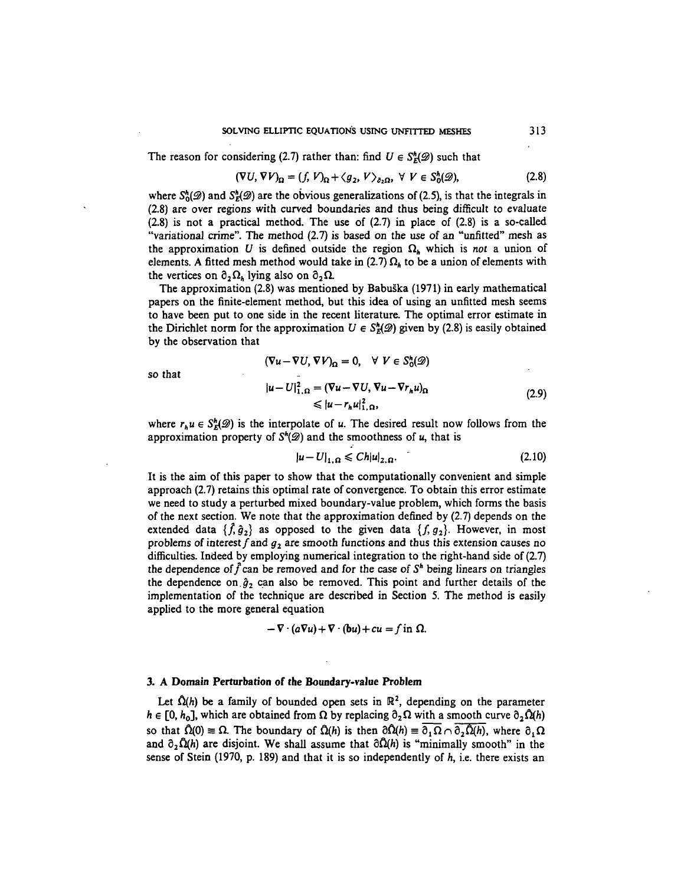The reason for considering (2.7) rather than: find  $U \in S^h_E(\mathscr{D})$  such that

$$
(\nabla U, \nabla V)_{\Omega} = (f, V)_{\Omega} + \langle g_2, V \rangle_{\partial_2 \Omega}, \ \forall \ V \in S_0^h(\mathscr{D}), \tag{2.8}
$$

where  $S^h(\mathscr{D})$  and  $S^h(\mathscr{D})$  are the obvious generalizations of (2.5), is that the integrals in (2.8) are over regions with curved boundaries and thus being difficult to evaluate (2.8) is not a practical method. The use of (2.7) in place of (2.8) is a so-called "variational crime". The method (2.7) is based on the use of an "unfitted" mesh as the approximation U is defined outside the region  $\Omega_h$  which is not a union of elements. A fitted mesh method would take in (2.7)  $\Omega_h$  to be a union of elements with the vertices on  $\partial_2 \Omega_h$  lying also on  $\partial_2 \Omega$ .

The approximation (2.8) was mentioned by Babuska (1971) in early mathematical papers on the finite-element method, but this idea of using an unfitted mesh seems to have been put to one side in the recent literature. The optimal error estimate in the Dirichlet norm for the approximation  $U \in S^h_E(\mathscr{D})$  given by (2.8) is easily obtained by the observation that

 $(\nabla u - \nabla U, \nabla V)_{\Omega} = 0, \quad \forall V \in S_{0}^{h}(\mathscr{D})$ 

so that

$$
|u - U|_{1,\Omega}^{2} = (\nabla u - \nabla U, \nabla u - \nabla r_{h} u)_{\Omega}
$$
  
\n
$$
\leq |u - r_{h} u|_{1,\Omega}^{2},
$$
\n(2.9)

where  $r_h u \in S_E^h(\mathcal{D})$  is the interpolate of u. The desired result now follows from the approximation property of  $S^h(\mathcal{D})$  and the smoothness of  $u$ , that is

$$
|u - U|_{1,\Omega} \leq C h |u|_{2,\Omega}.
$$
 (2.10)

It is the aim of this paper to show that the computationally convenient and simple approach (2.7) retains this optimal rate of convergence. To obtain this error estimate we need to study a perturbed mixed boundary-value problem, which forms the basis of the next section. We note that the approximation defined by (2.7) depends on the extended data  $\{\hat{f}, \hat{g}_2\}$  as opposed to the given data  $\{f, g_2\}$ . However, in most problems of interest  $f$  and  $g_2$  are smooth functions and thus this extension causes no difficulties. Indeed by employing numerical integration to the right-hand side of (2.7) the dependence of  $\hat{f}$  can be removed and for the case of  $S<sup>h</sup>$  being linears on triangles the dependence on  $\hat{g}_2$  can also be removed. This point and further details of the implementation of the technique are described in Section 5. The method is easily applied to the more general equation

$$
-\nabla \cdot (a\nabla u) + \nabla \cdot (bu) + cu = f \text{ in } \Omega.
$$

#### **3. A Domain Perturbation of the Boundary-value Problem**

Let  $\hat{\Omega}(h)$  be a family of bounded open sets in  $\mathbb{R}^2$ , depending on the parameter  $h \in [0, h_0]$ , which are obtained from  $\Omega$  by replacing  $\partial_2 \Omega$  with a smooth curve  $\partial_2 \Omega(h)$ so that  $\hat{\Omega}(0) \equiv \Omega$ . The boundary of  $\hat{\Omega}(h)$  is then  $\partial \hat{\Omega}(h) \equiv \partial_1 \Omega \cap \partial_2 \hat{\Omega}(h)$ , where  $\partial_1 \Omega$ and  $\partial_2\hat{\Omega}(h)$  are disjoint. We shall assume that  $\partial\hat{\Omega}(h)$  is "minimally smooth" in the sense of Stein (1970, p. 189) and that it is so independently of *h,* i.e. there exists an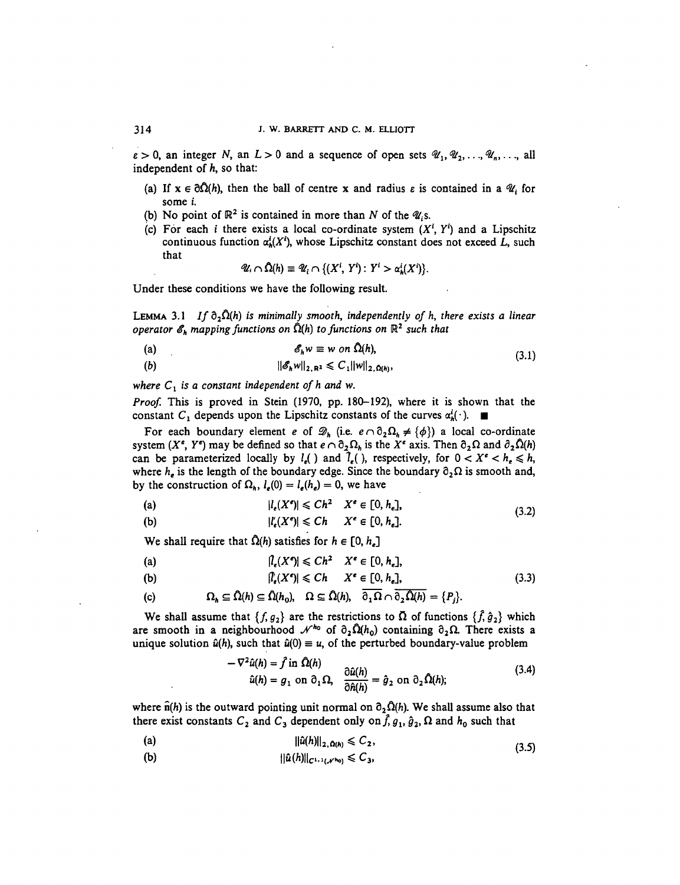$\varepsilon > 0$ , an integer N, an  $L > 0$  and a sequence of open sets  $\mathscr{U}_1, \mathscr{U}_2, \ldots, \mathscr{U}_n, \ldots$ , all independent of *h,* so that:

- (a) If  $x \in \partial \Omega(h)$ , then the ball of centre x and radius  $\varepsilon$  is contained in a  $\mathcal{U}_i$  for some *i.*
- (b) No point of  $\mathbb{R}^2$  is contained in more than N of the  $\mathscr{U}_i$ s.
- (c) For each *i* there exists a local co-ordinate system  $(X^i, Y^i)$  and a Lipschitz continuous function  $\alpha_k^i(X^i)$ , whose Lipschitz constant does not exceed L, such that

$$
\mathscr{U}_i \cap \hat{\Omega}(h) \equiv \mathscr{U}_i \cap \{(X^i, Y^i): Y^i > \alpha_h^i(X^i)\}.
$$

Under these conditions we have the following result.

LEMMA 3.1 If  $\partial_2\Omega(h)$  is minimally smooth, independently of h, there exists a linear  $\rho$ perator  $\mathscr{E}_h$  mapping functions on  $\hat{\Omega}(h)$  to functions on  $\mathbb{R}^2$  such that

$$
\mathscr{E}_h w \equiv w \text{ on } \hat{\Omega}(h), \tag{3.1}
$$

(b)  $||\mathscr{E}_h w||_{2, \mathbf{R}^2} \leq C_1 ||w||_{2, \Omega(h)},$ 

where  $C_1$  is a constant independent of h and w.

*Proof.* This is proved in Stein (1970, pp. 180-192), where it is shown that the constant C<sub>1</sub> depends upon the Lipschitz constants of the curves  $\alpha_{h}^{i}(\cdot)$ .

For each boundary element *e* of  $\mathcal{D}_h$  (i.e.  $e \cap \partial_2 \Omega_h \neq {\phi}$ ) a local co-ordinate system  $(X^e, Y^e)$  may be defined so that  $e \cap \partial_2 \Omega_h$  is the  $X^e$  axis. Then  $\partial_2 \Omega$  and  $\partial_2 \Omega(h)$ can be parameterized locally by  $l_e$ () and  $\hat{l}_e$ (), respectively, for  $0 < X^e < h_e \le h$ , where  $h_e$  is the length of the boundary edge. Since the boundary  $\partial_2\Omega$  is smooth and, by the construction of  $\Omega_h$ ,  $l_e(0) = l_e(h_e) = 0$ , we have

$$
|l_{\epsilon}(X^{\epsilon})| \leq C h^2 \quad X^{\epsilon} \in [0, h_{\epsilon}], \tag{3.2}
$$

(b) 
$$
|l'_{\epsilon}(X^{\epsilon})| \leq C h \qquad X^{\epsilon} \in [0, h_{\epsilon}].
$$

We shall require that  $\hat{\Omega}(h)$  satisfies for  $h \in [0, h_e]$ 

(a) 
$$
|\hat{l}_{e}(X^{e})| \leq Ch^{2} \quad X^{e} \in [0, h_{e}],
$$

$$
[l'_{\epsilon}(X^{\epsilon})] \leq C h \qquad X^{\epsilon} \in [0, h_{\epsilon}], \tag{3.3}
$$

(c) 
$$
\Omega_h \subseteq \hat{\Omega}(h) \subseteq \hat{\Omega}(h_0), \quad \Omega \subseteq \hat{\Omega}(h), \quad \overline{\partial_1 \Omega} \cap \overline{\partial_2 \hat{\Omega}(h)} = \{P_j\}.
$$

We shall assume that  $\{f, g_2\}$  are the restrictions to  $\overline{\Omega}$  of functions  $\{\hat{f}, \hat{g}_2\}$  which are smooth in a neighbourhood  $\mathcal{N}^{h_0}$  of  $\partial_2 \hat{\Omega}(h_0)$  containing  $\partial_2 \Omega$ . There exists a unique solution  $\hat{u}(h)$ , such that  $\hat{u}(0) \equiv u$ , of the perturbed boundary-value problem

$$
\nabla^2 \hat{u}(h) = \hat{f} \text{ in } \Omega(h)
$$
  
\n
$$
\hat{u}(h) = g_1 \text{ on } \partial_1 \Omega, \quad \frac{\partial \hat{u}(h)}{\partial \hat{n}(h)} = \hat{g}_2 \text{ on } \partial_2 \Omega(h);
$$
\n(3.4)

where  $\hat{n}(h)$  is the outward pointing unit normal on  $\partial_2 \hat{\Omega}(h)$ . We shall assume also that there exist constants  $C_2$  and  $C_3$  dependent only on  $\hat{f}, g_1, \hat{g}_2, \Omega$  and  $h_0$  such that

(a) 
$$
||\hat{u}(h)||_{2,\Omega(h)} \leq C_2,
$$
 (3.5)

(b)  $||\hat{u}(h)||_{C^{1,1}(\mathcal{N}^{h_0})} \leq C_3$ ,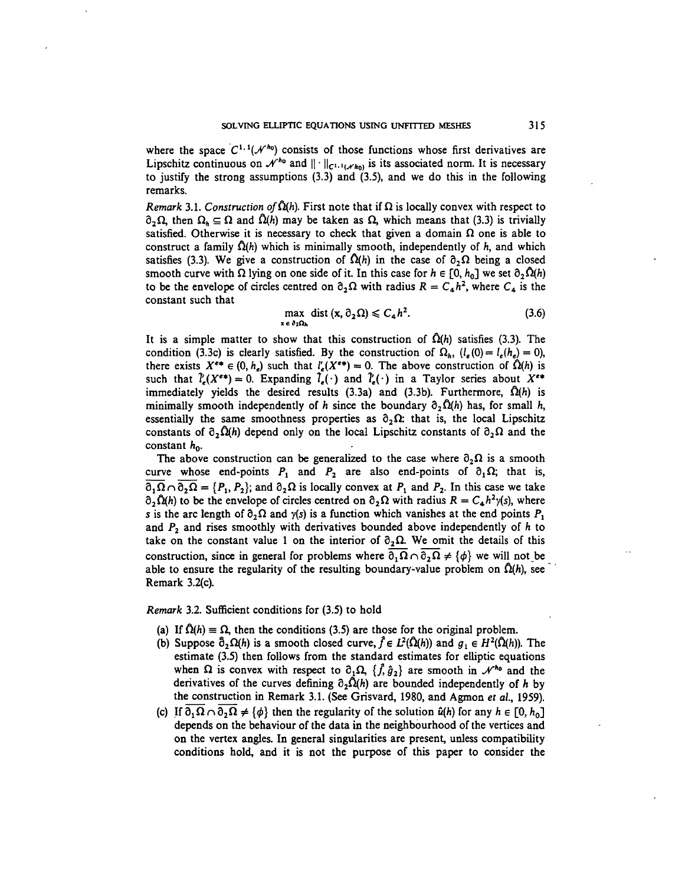where the space  $C^{1,1}(\mathcal{N}^{h_0})$  consists of those functions whose first derivatives are Lipschitz continuous on  $\mathcal{N}^{h_0}$  and  $|| \cdot ||_{C^{1,1}(\mathcal{N}h_0)}$  is its associated norm. It is necessary to justify the strong assumptions  $(3.3)$  and  $(3.5)$ , and we do this in the following remarks.

*Remark* 3.1. Construction of  $\Omega(h)$ . First note that if  $\Omega$  is locally convex with respect to  $\partial_2\Omega$ , then  $\Omega_h \subseteq \Omega$  and  $\hat{\Omega}(h)$  may be taken as  $\Omega$ , which means that (3.3) is trivially satisfied. Otherwise it is necessary to check that given a domain  $\Omega$  one is able to construct a family  $\Omega(h)$  which is minimally smooth, independently of h, and which satisfies (3.3). We give a construction of  $\Omega(h)$  in the case of  $\partial_2 \Omega$  being a closed smooth curve with  $\Omega$  lying on one side of it. In this case for  $h \in [0, h_0]$  we set  $\partial_2 \Omega(h)$ to be the envelope of circles centred on  $\partial_2 \Omega$  with radius  $R = C_4 h^2$ , where  $C_4$  is the constant such that

$$
\max_{\mathbf{x} \in \partial_2 \Omega_h} \text{dist} \left( \mathbf{x}, \partial_2 \Omega \right) \leqslant C_4 h^2. \tag{3.6}
$$

It is a simple matter to show that this construction of  $\hat{\Omega}(h)$  satisfies (3.3). The condition (3.3c) is clearly satisfied. By the construction of  $\Omega_h$ ,  $(l_e(0) = l_e(h_e) = 0)$ , there exists  $X^{e*} \in (0, h_e)$  such that  $l'_e(X^{e*}) = 0$ . The above construction of  $\hat{\Omega}(h)$  is such that  $\hat{l}_{\epsilon}(X^{\epsilon})=0$ . Expanding  $\hat{l}_{\epsilon}(\cdot)$  and  $\hat{l}'_{\epsilon}(\cdot)$  in a Taylor series about  $X^{\epsilon}$ immediately yields the desired results  $(3.3a)$  and  $(3.3b)$ . Furthermore,  $\hat{\Omega}(h)$  is minimally smooth independently of h since the boundary  $\partial_2\Omega(h)$  has, for small h, essentially the same smoothness properties as  $\partial_2 \Omega$ : that is, the local Lipschitz constants of  $\partial_2\Omega(h)$  depend only on the local Lipschitz constants of  $\partial_2\Omega$  and the constant  $h_0$ .

The above construction can be generalized to the case where  $\partial_2\Omega$  is a smooth curve whose end-points  $P_1$  and  $P_2$  are also end-points of  $\partial_1 \Omega$ ; that is,  $\overline{\partial_1 \Omega} \cap \overline{\partial_2 \Omega} = \{P_1, P_2\}$ ; and  $\partial_2 \Omega$  is locally convex at  $P_1$  and  $P_2$ . In this case we take  $\partial_2 \Omega(h)$  to be the envelope of circles centred on  $\partial_2 \Omega$  with radius  $R = C_a h^2 y(s)$ , where s is the arc length of  $\partial_2\Omega$  and  $y(s)$  is a function which vanishes at the end points  $P_1$ and  $P_2$  and rises smoothly with derivatives bounded above independently of  $h$  to take on the constant value 1 on the interior of  $\partial_2 \Omega$ . We omit the details of this construction, since in general for problems where  $\overline{\partial_1\Omega}\cap\overline{\partial_2\Omega}\neq {\phi}$  we will not be able to ensure the regularity of the resulting boundary-value problem on  $\Omega(h)$ , see Remark 3.2(c).

*Remark* 3.2. Sufficient conditions for (3.5) to hold

- (a) If  $\hat{\Omega}(h) \equiv \Omega$ , then the conditions (3.5) are those for the original problem.
- (b) Suppose  $\hat{\partial}_2 \Omega(h)$  is a smooth closed curve,  $\hat{f} \in L^2(\hat{\Omega}(h))$  and  $g_1 \in H^2(\hat{\Omega}(h))$ . The estimate (3.5) then follows from the standard estimates for elliptic equations when  $\Omega$  is convex with respect to  $\partial_1 \Omega$ ,  $\{\hat{f}, \hat{g}_2\}$  are smooth in  $\mathcal{N}^{h_0}$  and the derivatives of the curves defining  $\partial_2 \Omega(h)$  are bounded independently of h by the construction in Remark 3.1. (See Grisvard, 1980, and Agmon *et al,* 1959).
- (c) If  $\partial_1 \Omega \cap \partial_2 \Omega \neq {\phi}$  then the regularity of the solution  $\hat{u}(h)$  for any  $h \in [0, h_0]$ depends on the behaviour of the data in the neighbourhood of the vertices and on the vertex angles. In general singularities are present, unless compatibility conditions hold, and it is not the purpose of this paper to consider the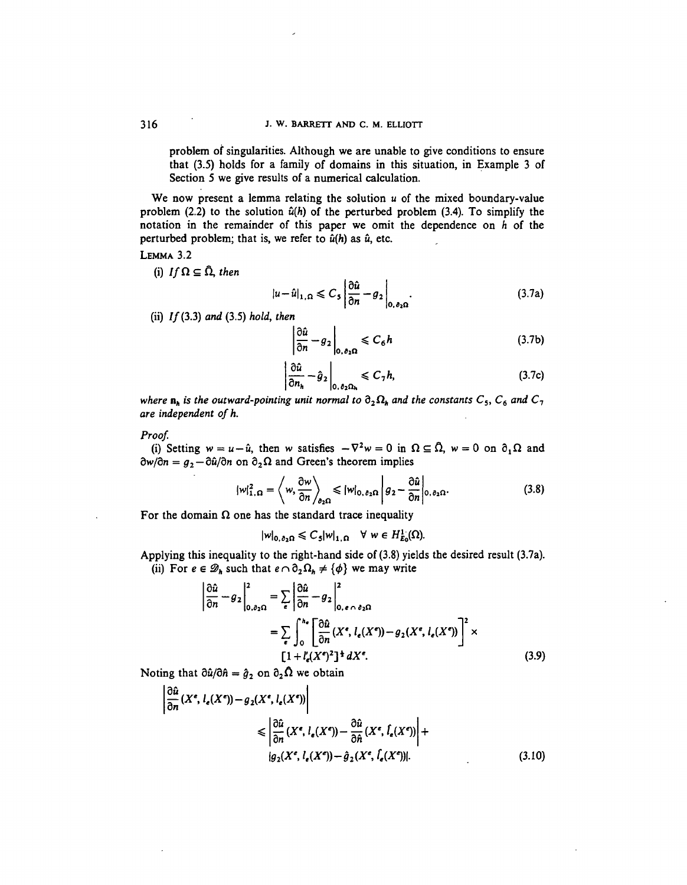problem of singularities. Although we are unable to give conditions to ensure that (3.5) holds for a family of domains in this situation, in Example 3 of Section 5 we give results of a numerical calculation.

We now present a lemma relating the solution *u* of the mixed boundary-value problem  $(2.2)$  to the solution  $\hat{u}(h)$  of the perturbed problem  $(3.4)$ . To simplify the notation in the remainder of this paper we omit the dependence on *h* of the perturbed problem; that is, we refer to  $\hat{u}(h)$  as  $\hat{u}$ , etc.

LEMMA 3.2

(i) If  $\Omega \subseteq \hat{\Omega}$ , then

$$
|u - \hat{u}|_{1,\Omega} \leq C_5 \left| \frac{\partial \hat{u}}{\partial n} - g_2 \right|_{0,\,\partial_2\Omega}.
$$
 (3.7a)

(ii) //(3.3) *and* (3.5) *hold, then*

$$
\left|\frac{\partial \hat{u}}{\partial n} - g_2\right|_{0,\,\delta_2\Omega} \leq C_6 h \tag{3.7b}
$$

$$
\left. \frac{\partial \hat{u}}{\partial n_h} - \hat{g}_2 \right|_{0, \, \theta_2 \Omega_h} \leqslant C_7 h,\tag{3.7c}
$$

*where*  $n_h$  *is the outward-pointing unit normal to*  $\partial_2 \Omega_h$  *and the constants*  $C_5$ *,*  $C_6$  *and*  $C_7$ *are independent ofh.*

*Proof.*

(i) Setting  $w = u - \hat{u}$ , then w satisfies  $-\nabla^2 w = 0$  in  $\Omega \subseteq \hat{\Omega}$ ,  $w = 0$  on  $\partial_1 \Omega$  and  $\partial w/\partial n = g_2 - \partial \hat{u}/\partial n$  on  $\partial_2 \Omega$  and Green's theorem implies

$$
|w|_{1,\Omega}^2 = \left\langle w, \frac{\partial w}{\partial n} \right\rangle_{\partial_2 \Omega} \leqslant |w|_{0,\partial_2 \Omega} \left| g_2 - \frac{\partial \hat{u}}{\partial n} \right|_{0,\partial_2 \Omega}.
$$
 (3.8)

For the domain  $\Omega$  one has the standard trace inequality

$$
|w|_{0,\partial_2\Omega}\leq C_5|w|_{1,\Omega}\quad\forall\ w\in H^1_{E_0}(\Omega).
$$

Applying this inequality to the right-hand side of (3.8) yields the desired result (3.7a). (ii) For  $e \in \mathcal{D}_h$  such that  $e \cap \partial_2 \Omega_h \neq {\varphi}$  we may write

$$
\left| \frac{\partial \hat{u}}{\partial n} - g_2 \right|_{0,\partial_2 \Omega}^2 = \sum_{\epsilon} \left| \frac{\partial \hat{u}}{\partial n} - g_2 \right|_{0,\epsilon \cap \partial_2 \Omega}^2
$$

$$
= \sum_{\epsilon} \int_0^{h_{\epsilon}} \left[ \frac{\partial \hat{u}}{\partial n} (X^{\epsilon}, l_{\epsilon}(X^{\epsilon})) - g_2(X^{\epsilon}, l_{\epsilon}(X^{\epsilon})) \right]^2 \times \left[ 1 + l'_{\epsilon}(X^{\epsilon})^2 \right]^{\frac{1}{2}} dX^{\epsilon}.
$$
(3.9)

Noting that  $\partial \hat{u}/\partial \hat{n} = \hat{g}_2$  on  $\partial_2 \Omega$  we obtain

$$
\left| \frac{\partial \hat{u}}{\partial n}(X^e, l_e(X^e)) - g_2(X^e, l_e(X^e)) \right|
$$
  

$$
\leq \left| \frac{\partial \hat{u}}{\partial n}(X^e, l_e(X^e)) - \frac{\partial \hat{u}}{\partial n}(X^e, l_e(X^e)) \right| +
$$
  

$$
|g_2(X^e, l_e(X^e)) - \hat{g}_2(X^e, l_e(X^e))|.
$$
 (3.10)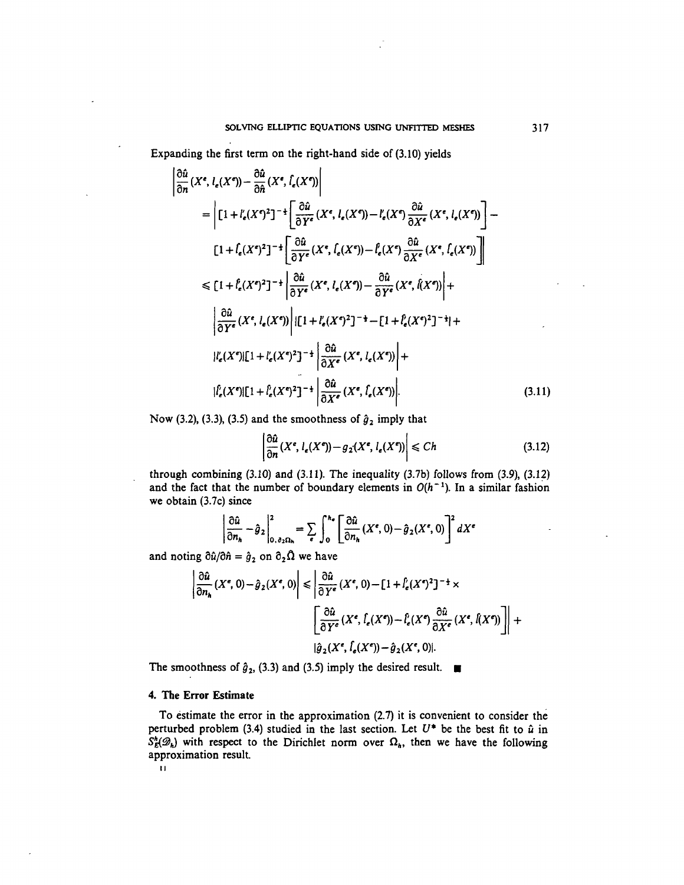Expanding the first term on the right-hand side of (3.10) yields

$$
\left| \frac{\partial \hat{u}}{\partial n}(X^e, l_e(X^e)) - \frac{\partial \hat{u}}{\partial \hat{n}}(X^e, \hat{l}_e(X^e)) \right|
$$
\n
$$
= \left| [1 + l'_e(X^e)^2]^{-\frac{1}{2}} \left[ \frac{\partial \hat{u}}{\partial Y^e}(X^e, l_e(X^e)) - l'_e(X^e) \frac{\partial \hat{u}}{\partial X^e}(X^e, l_e(X^e)) \right] - \left[ 1 + \hat{l}_e(X^e)^2 \right]^{-\frac{1}{2}} \left[ \frac{\partial \hat{u}}{\partial Y^e}(X^e, \hat{l}_e(X^e)) - \hat{l}_e(X^e) \frac{\partial \hat{u}}{\partial X^e}(X^e, \hat{l}_e(X^e)) \right] \right|
$$
\n
$$
\leq [1 + \hat{l}_e(X^e)^2]^{-\frac{1}{2}} \left| \frac{\partial \hat{u}}{\partial Y^e}(X^e, l_e(X^e)) - \frac{\partial \hat{u}}{\partial Y^e}(X^e, \hat{l}(X^e)) \right| + \left| \frac{\partial \hat{u}}{\partial Y^e}(X^e, l_e(X^e)) \right| \left| [1 + l'_e(X^e)^2]^{-\frac{1}{2}} - [1 + l'_e(X^e)^2]^{-\frac{1}{2}} \right| + \left| l'_e(X^e) [1 + l'_e(X^e)^2]^{-\frac{1}{2}} \right| \frac{\partial \hat{u}}{\partial X^e}(X^e, l_e(X^e)) \right| + \left| l'_e(X^e) [1 + l'_e(X^e)^2]^{-\frac{1}{2}} \left| \frac{\partial \hat{u}}{\partial X^e}(X^e, \hat{l}_e(X^e)) \right| + \left| l'_e(X^e) [1 + l'_e(X^e)^2]^{-\frac{1}{2}} \left| \frac{\partial \hat{u}}{\partial X^e}(X^e, \hat{l}_e(X^e)) \right| \right| \tag{3.11}
$$

Now (3.2), (3.3), (3.5) and the smoothness of  $\hat{g}_2$  imply that

$$
\left|\frac{\partial \hat{u}}{\partial n}(X^e, l_e(X^e)) - g_2(X^e, l_e(X^e))\right| \leq Ch \tag{3.12}
$$

through combining (3.10) and (3.11). The inequality (3.7b) follows from (3.9), (3.12) and the fact that the number of boundary elements in  $O(h^{-1})$ . In a similar fashion we obtain (3.7c) since

$$
\left|\frac{\partial \hat{u}}{\partial n_h} - \hat{g}_2\right|_{0. \partial_2 \Omega_h}^2 = \sum_{\epsilon} \int_0^{h_{\epsilon}} \left[\frac{\partial \hat{u}}{\partial n_h}(X^{\epsilon}, 0) - \hat{g}_2(X^{\epsilon}, 0)\right]^2 dX^{\epsilon}
$$

and noting  $\partial \hat{u}/\partial \hat{n} = \hat{g}_2$  on  $\partial_2 \hat{\Omega}$  we have

$$
\left| \frac{\partial \hat{u}}{\partial n_h}(X^e, 0) - \hat{g}_2(X^e, 0) \right| \le \left| \frac{\partial \hat{u}}{\partial Y^e}(X^e, 0) - [1 + \hat{l}_e(X^e)^2]^{-\frac{1}{2}} \times \right|
$$

$$
\left[ \frac{\partial \hat{u}}{\partial Y^e}(X^e, \hat{l}_e(X^e)) - \hat{l}_e(X^e) \frac{\partial \hat{u}}{\partial X^e}(X^e, \hat{l}(X^e)) \right] \right| +
$$

$$
|\hat{g}_2(X^e, \hat{l}_e(X^e)) - \hat{g}_2(X^e, 0)|.
$$

The smoothness of  $\hat{g}_2$ , (3.3) and (3.5) imply the desired result.  $\blacksquare$ 

## **4. The Error Estimate**

To estimate the error in the approximation (2.7) it is convenient to consider the perturbed problem (3.4) studied in the last section. Let  $U^*$  be the best fit to  $\hat{u}$  in  $S^h_E(\mathscr{D}_h)$  with respect to the Dirichlet norm over  $\Omega_h$ , then we have the following approximation result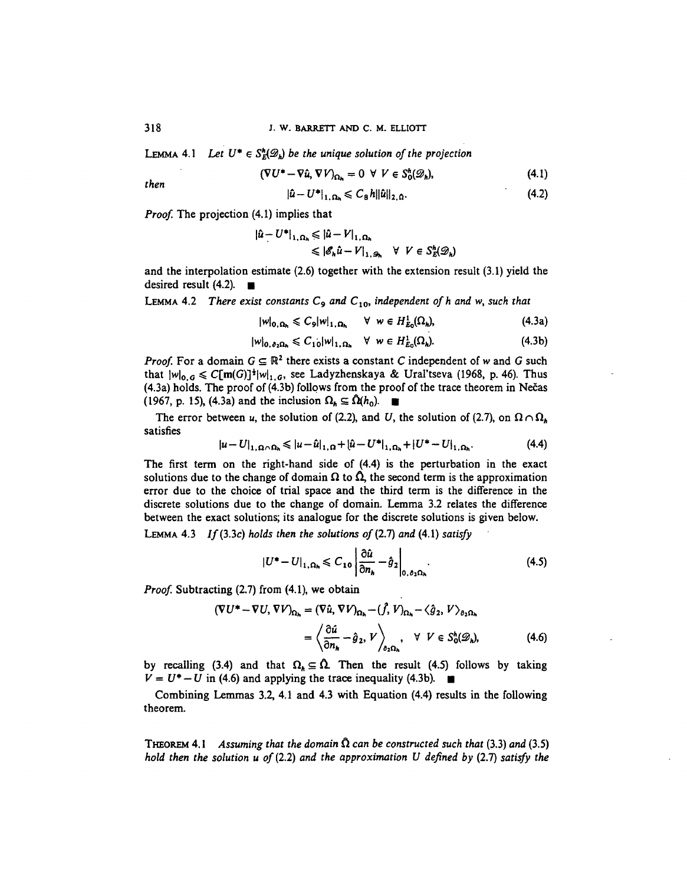**LEMMA** 4.1 Let  $U^* \in S^h(\mathscr{D}_h)$  be the unique solution of the projection

$$
(\nabla U^* - \nabla \hat{u}, \nabla V)_{\Omega_h} = 0 \ \forall \ V \in S_0^h(\mathscr{D}_h), \tag{4.1}
$$

$$
|\hat{u} - U^*|_{1, \Omega_h} \leqslant C_8 h ||\hat{u}||_{2, \Omega}.
$$
\n
$$
(4.2)
$$

*Proof.* The projection (4.1) implies that

$$
\begin{aligned} |\hat{u} - U^*|_{1, \Omega_h} &\leq |\hat{u} - V|_{1, \Omega_h} \\ &\leq |\mathscr{E}_h \hat{u} - V|_{1, \mathscr{D}_h} \quad \forall \ \ V \in S_E^h(\mathscr{D}_h) \end{aligned}
$$

and the interpolation estimate (2.6) together with the extension result (3.1) yield the desired result  $(4.2)$ .

**LEMMA** 4.2 There exist constants  $C_9$  and  $C_{10}$ , independent of h and w, such that

$$
|w|_{0,\Omega_h} \leqslant C_9|w|_{1,\Omega_h} \quad \forall \ w \in H^1_{E_0}(\Omega_h), \tag{4.3a}
$$

$$
|w|_{0,\,\partial_2\Omega_h} \leqslant C_{10}|w|_{1,\,\Omega_h} \quad \forall \ w \in H^1_{E_0}(\Omega_h). \tag{4.3b}
$$

*Proof.* For a domain  $G \subseteq \mathbb{R}^2$  there exists a constant C independent of w and G such that  $|w|_{0,G} \leq C[m(G)]^{\frac{1}{2}}|w|_{1,G}$ , see Ladyzhenskaya & Ural'tseva (1968, p. 46). Thus (4.3a) holds. The proof of (4.3b) follows from the proof of the trace theorem in Necas (1967, p. 15), (4.3a) and the inclusion  $\Omega_h \subseteq \hat{\Omega}(h_0)$ .

The error between *u*, the solution of (2.2), and *U*, the solution of (2.7), on  $\Omega \cap \Omega_h$ satisfies

$$
|u - U|_{1, \Omega \cap \Omega_h} \leq |u - \hat{u}|_{1, \Omega} + |\hat{u} - U^*|_{1, \Omega_h} + |U^* - U|_{1, \Omega_h}.
$$
 (4.4)

The first term on the right-hand side of (4.4) is the perturbation in the exact solutions due to the change of domain  $\Omega$  to  $\hat{\Omega}$ , the second term is the approximation error due to the choice of trial space and the third term is the difference in the discrete solutions due to the change of domain. Lemma 3.2 relates the difference between the exact solutions; its analogue for the discrete solutions is given below.

**LEMMA 4.3 //(3.3c)** *holds then the solutions of (2.1) and* **(4.1)** *satisfy*

$$
|U^*-U|_{1,\Omega_h} \leqslant C_{10} \left| \frac{\partial \hat{u}}{\partial n_h} - \hat{g}_2 \right|_{0,\,\partial_2\Omega_h}.
$$
 (4.5)

*Proof.* Subtracting (2.7) from (4.1), we obtain

$$
(\nabla U^* - \nabla U, \nabla V)_{\Omega_h} = (\nabla \hat{u}, \nabla V)_{\Omega_h} - (\hat{f}, V)_{\Omega_h} - \langle \hat{g}_2, V \rangle_{\partial_2 \Omega_h}
$$
  
=  $\left\langle \frac{\partial \hat{u}}{\partial n_h} - \hat{g}_2, V \right\rangle_{\partial_2 \Omega_h}, \quad \forall \ V \in S_0^h(\mathcal{D}_h),$  (4.6)

by recalling (3.4) and that  $\Omega_h \subseteq \Omega$ . Then the result (4.5) follows by taking  $V = U^* - U$  in (4.6) and applying the trace inequality (4.3b).  $\blacksquare$ 

Combining Lemmas 3.2, 4.1 and 4.3 with Equation (4.4) results in the following theorem.

**THEOREM** 4.1 Assuming that the domain  $\Omega$  can be constructed such that (3.3) and (3.5) *hold then the solution u of* **(2.2)** *and the approximation U defined by* **(2.7)** *satisfy the*

then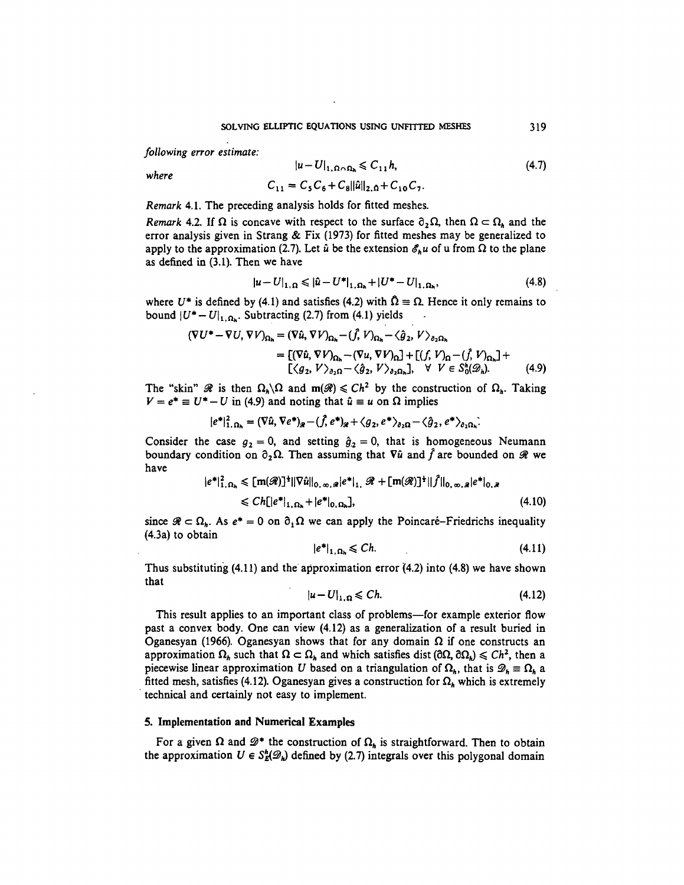*following error estimate:*

*where*

$$
|u - U|_{1, \Omega \cap \Omega_h} \leq C_{11} h,
$$
  
\n
$$
C_{11} = C_5 C_6 + C_8 ||\hat{u}||_{2, \Omega} + C_{10} C_7.
$$
\n(4.7)

*Remark* 4.1. The preceding analysis holds for fitted meshes.

*Remark* 4.2. If  $\Omega$  is concave with respect to the surface  $\partial_2 \Omega$ , then  $\Omega \subset \Omega_h$  and the error analysis given in Strang & Fix (1973) for fitted meshes may be generalized to apply to the approximation (2.7). Let  $\hat{u}$  be the extension  $\mathscr{E}_h u$  of u from  $\Omega$  to the plane as defined in (3.1). Then we have

$$
|u - U|_{1,\Omega} \leq |u - U^*|_{1,\Omega_h} + |U^* - U|_{1,\Omega_h},
$$
\n(4.8)

where  $U^*$  is defined by (4.1) and satisfies (4.2) with  $\hat{\Omega} \equiv \Omega$ . Hence it only remains to bound  $|U^*-U|_{1,\Omega_0}$ . Subtracting (2.7) from (4.1) yields

$$
(\nabla U^* - \nabla U, \nabla V)_{\Omega_h} = (\nabla \hat{u}, \nabla V)_{\Omega_h} - (\hat{f}, V)_{\Omega_h} - \langle \hat{g}_2, V \rangle_{\partial_2 \Omega_h}
$$
  
= 
$$
[(\nabla \hat{u}, \nabla V)_{\Omega_h} - (\nabla u, \nabla V)_{\Omega}] + [(f, V)_{\Omega} - (\hat{f}, V)_{\Omega_h}] + [(g_2, V)_{\partial_2 \Omega} - \langle \hat{g}_2, V \rangle_{\partial_2 \Omega_h}], \quad \forall \ V \in S_0^h(\mathcal{D}_h). \tag{4.9}
$$

The "skin"  $\mathcal{R}$  is then  $\Omega_h \backslash \Omega$  and  $m(\mathcal{R}) \le Ch^2$  by the construction of  $\Omega_h$ . Taking  $V = e^* \equiv U^* - U$  in (4.9) and noting that  $\hat{u} \equiv u$  on  $\Omega$  implies

$$
|e^*|_{1,\,\Omega_h}^2 = (\nabla \hat{u},\,\nabla e^*)_{\mathscr{R}} - (\hat{f},\,e^*)_{\mathscr{R}} + \langle g_2,\,e^* \rangle_{\partial_2\Omega} - \langle \hat{g}_2,\,e^* \rangle_{\partial_2\Omega_h}.
$$

Consider the case  $g_2 = 0$ , and setting  $\hat{g}_2 = 0$ , that is homogeneous Neumann boundary condition on  $\partial_2 \Omega$ . Then assuming that  $\nabla \hat{u}$  and  $\hat{f}$  are bounded on  $\mathcal{R}$  we have  $\sim$   $\sim$   $\sim$   $\sim$   $\sim$   $\sim$ 

$$
|e^*|_{1,\Omega_h}^2 \leq [m(\mathscr{R})]^{\frac{1}{2}} ||\nabla \hat{u}||_{0,\infty,\mathscr{R}} |e^*|_{1,\mathscr{R}} + [m(\mathscr{R})]^{\frac{1}{2}} ||f||_{0,\infty,\mathscr{R}} |e^*|_{0,\mathscr{R}}
$$
  

$$
\leq Ch[|e^*|_{1,\Omega_h} + |e^*|_{0,\Omega_h}], \qquad (4.10)
$$

since  $\mathcal{R} \subset \Omega_h$ . As  $e^* = 0$  on  $\partial_{\Omega} \Omega$  we can apply the Poincaré-Friedrichs inequality (4.3a) to obtain

$$
|e^*|_{1,\,\Omega_h} \leqslant Ch.\tag{4.11}
$$

Thus substituting (4.11) and the approximation error (4.2) into (4.8) we have shown that

$$
|u - U|_{1, \Omega} \leq C h. \tag{4.12}
$$

This result applies to an important class of problems—for example exterior flow past a convex body. One can view (4.12) as a generalization of a result buried in Oganesyan (1966). Oganesyan shows that for any domain  $\Omega$  if one constructs an approximation  $\Omega_h$  such that  $\Omega \subset \Omega_h$  and which satisfies dist  $(\partial \Omega, \partial \Omega_h) \leq C h^2$ , then a piecewise linear approximation *U* based on a triangulation of  $\Omega_h$ , that is  $\mathscr{D}_h \equiv \Omega_h$  a fitted mesh, satisfies (4.12). Oganesyan gives a construction for  $\Omega_h$  which is extremely technical and certainly not easy to implement.

### 5. Implementation **and** Numerical Examples

For a given  $\Omega$  and  $\mathscr{D}^*$  the construction of  $\Omega_h$  is straightforward. Then to obtain the approximation  $U \in S_E^h(\mathscr{D}_h)$  defined by (2.7) integrals over this polygonal domain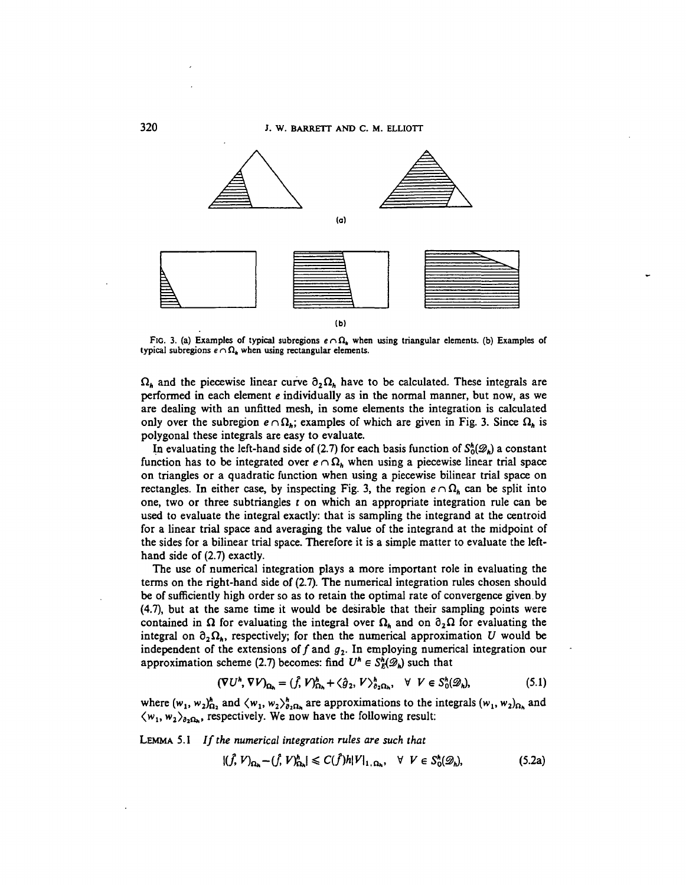

FIG. 3. (a) Examples of typical subregions  $e \cap \Omega_k$  when using triangular elements. (b) Examples of typical subregions  $e \cap \Omega_k$  when using rectangular elements.

 $\Omega_h$  and the piecewise linear curve  $\partial_2 \Omega_h$  have to be calculated. These integrals are performed in each element e individually as in the normal manner, but now, as we are dealing with an unfitted mesh, in some elements the integration is calculated only over the subregion  $e \cap \Omega_h$ ; examples of which are given in Fig. 3. Since  $\Omega_h$  is polygonal these integrals are easy to evaluate.

In evaluating the left-hand side of (2.7) for each basis function of  $S_0^h(\mathscr{D}_h)$  a constant function has to be integrated over  $e \cap \Omega_h$  when using a piecewise linear trial space on triangles or a quadratic function when using a piecewise bilinear trial space on rectangles. In either case, by inspecting Fig. 3, the region  $e \cap \Omega_h$  can be split into one, two or three subtriangles *t* on which an appropriate integration rule can be used to evaluate the integral exactly: that is sampling the integrand at the centroid for a linear trial space and averaging the value of the integrand at the midpoint of the sides for a bilinear trial space. Therefore it is a simple matter to evaluate the lefthand side of (2.7) exactly.

The use of numerical integration plays a more important role in evaluating the terms on the right-hand side of (2.7). The numerical integration rules chosen should be of sufficiently high order so as to retain the optimal rate of convergence given.by (4.7), but at the same time it would be desirable that their sampling points were contained in  $\Omega$  for evaluating the integral over  $\Omega_h$  and on  $\partial_2\Omega$  for evaluating the integral on  $\partial_2\Omega_k$ , respectively; for then the numerical approximation U would be independent of the extensions of  $f$  and  $g_2$ . In employing numerical integration our approximation scheme (2.7) becomes: find  $U^h \in S_E^h(\mathscr{D}_h)$  such that

$$
(\nabla U^h, \nabla V)_{\Omega_h} = (\hat{f}, V)_{\Omega_h}^h + \langle \hat{g}_2, V \rangle_{\partial_2 \Omega_h}^h, \quad \forall \ \ V \in S_0^h(\mathscr{D}_h), \tag{5.1}
$$

where  $(w_1, w_2)_{\Omega_2}^h$  and  $\langle w_1, w_2 \rangle_{\partial_2\Omega_h}^h$  are approximations to the integrals  $(w_1, w_2)_{\Omega_h}$  $\langle w_1, w_2 \rangle_{\partial_2 \Omega_h}$ , respectively. We now have the following result:

LEMMA 5.1 *If the numerical integration rules are such that*

$$
|(\tilde{f}, V)_{\Omega_h} - (\tilde{f}, V)_{\Omega_h}^h| \leqslant C(\tilde{f})h|V|_{1, \Omega_h}, \quad \forall \ \ V \in S_0^h(\mathscr{D}_h), \tag{5.2a}
$$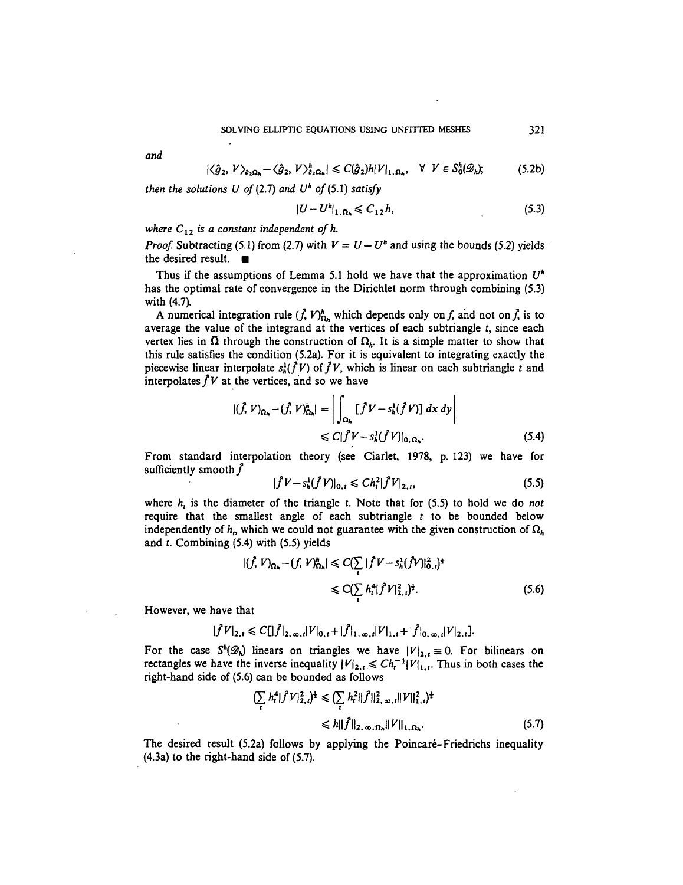*and*

$$
|\langle \hat{g}_2, V \rangle_{\partial_2 \Omega_h} - \langle \hat{g}_2, V \rangle_{\partial_2 \Omega_h}^h| \leqslant C(\hat{g}_2)h|V|_{1, \Omega_h}, \quad \forall \ \ V \in S_0^h(\mathscr{D}_h); \tag{5.2b}
$$

*then the solutions U of (2.7) and*  $U^h$  *of (5.1) satisfy* 

$$
|U - U^h|_{1, \Omega_h} \leq C_{12} h,\tag{5.3}
$$

# where  $C_{12}$  is a constant independent of h.

*Proof.* Subtracting (5.1) from (2.7) with  $V = U - U^h$  and using the bounds (5.2) yields the desired result.  $\blacksquare$ 

Thus if the assumptions of Lemma 5.1 hold we have that the approximation *U<sup>h</sup>* has the optimal rate of convergence in the Dirichlet norm through combining (5.3) with (4.7).

A numerical integration rule  $(\hat{f}, V)_{\Omega_h}^h$  which depends only on f, and not on  $\hat{f}$ , is to average the value of the integrand at the vertices of each subtriangle *t,* since each vertex lies in  $\overline{\Omega}$  through the construction of  $\Omega_h$ . It is a simple matter to show that this rule satisfies the condition (5.2a). For it is equivalent to integrating exactly the piecewise linear interpolate  $s_h^1(\hat{f}V)$  of  $\hat{f}V$ , which is linear on each subtriangle t and interpolates  $\hat{f}V$  at the vertices, and so we have

$$
|(\hat{f}, V)_{\Omega_h} - (\hat{f}, V)_{\Omega_h}^h| = \left| \int_{\Omega_h} [\hat{f}V - s_h^1(\hat{f}V)] dx dy \right|
$$
  

$$
\leq C |\hat{f}V - s_h^1(\hat{f}V)|_{0, \Omega_h}.
$$
 (5.4)

From standard interpolation theory (see Ciarlet, 1978, p. 123) we have for sufficiently smooth  $\hat{f}$ 

$$
|\hat{f}V - s_h^1(\hat{f}V)|_{0,t} \le C h_t^2 |\hat{f}V|_{2,t},
$$
\n(5.5)

where *h,* is the diameter of the triangle *t.* Note that for (5.5) to hold we do *not* require that the smallest angle of each subtriangle *t* to be bounded below independently of  $h$ <sub>p</sub> which we could not guarantee with the given construction of  $\Omega_h$ and *t.* Combining (5.4) with (5.5) yields

$$
|(\hat{f}, V)_{\Omega_h} - (f, V)_{\Omega_h}^h| \le C(\sum_i |\hat{f} V - s_h^1(\hat{f} V)|_0^2, )^{\frac{1}{2}}
$$
  
 
$$
\le C(\sum_i h_i^4 |\hat{f} V|_{2,i}^2)^{\frac{1}{2}}.
$$
 (5.6)

However, we have that

$$
|\widehat{f}V|_{2,t} \leq C[|\widehat{f}|_{2,\infty,t}|V|_{0,t}+|\widehat{f}|_{1,\infty,t}|V|_{1,t}+|\widehat{f}|_{0,\infty,t}|V|_{2,t}].
$$

For the case  $S^h(\mathcal{D}_h)$  linears on triangles we have  $|V|_{2,r}\equiv 0$ . For bilinears on rectangles we have the inverse inequality  $|V|_{2,t} \leq C h_t^{-1} |V|_{1,t}$ . Thus in both cases the right-hand side of (5.6) can be bounded as follows

$$
\begin{aligned} \left(\sum_{i} h_{i}^{4} |\hat{f}V|_{2,i}^{2}\right)^{\frac{1}{2}} &\leq \left(\sum_{i} h_{i}^{2} ||\hat{f}||_{2,\,\infty,\,i}^{2} ||V||_{1,i}^{2}\right)^{\frac{1}{2}} \\ &\leq h||\hat{f}||_{2,\,\infty,\,\Omega_{h}} ||V||_{1,\,\Omega_{h}}. \end{aligned} \tag{5.7}
$$

The desired result (5.2a) follows by applying the Poincaré–Friedrichs inequality (4.3a) to the right-hand side of (5.7).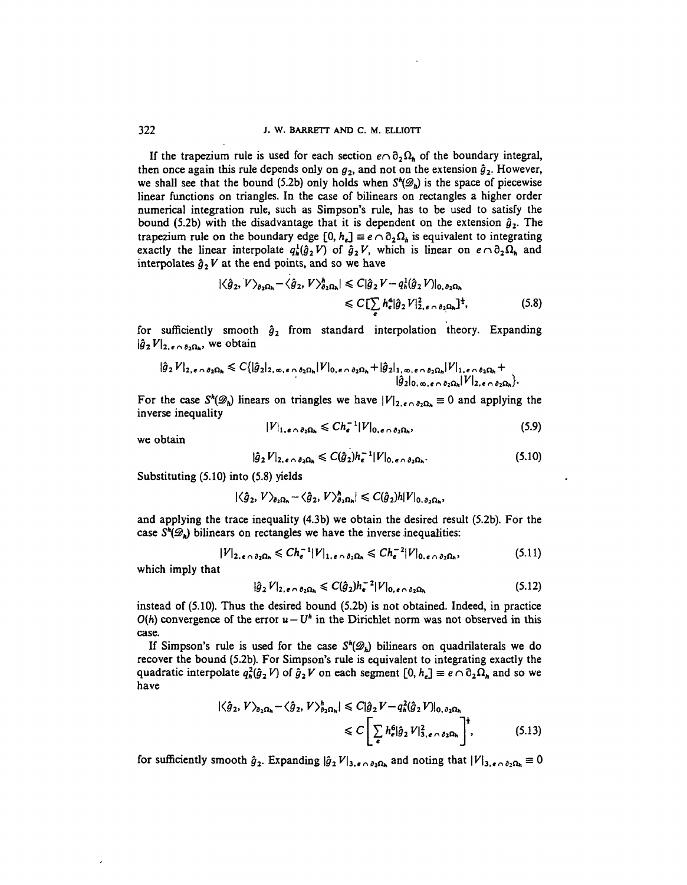If the trapezium rule is used for each section  $e \cap \partial_2 \Omega_h$  of the boundary integral, then once again this rule depends only on  $g_2$ , and not on the extension  $\hat{g}_2$ . However, we shall see that the bound (5.2b) only holds when  $S^{\prime}(\mathscr{D}_{\mathbf{b}})$  is the space of piecewise linear functions on triangles. In the case of bilinears on rectangles a higher order numerical integration rule, such as Simpson's rule, has to be used to satisfy the bound (5.2b) with the disadvantage that it is dependent on the extension  $\hat{g}_2$ . The trapezium rule on the boundary edge  $[0, h_e] \equiv e \cap \partial_2 \Omega_h$  is equivalent to integrating exactly the linear interpolate  $q_h^1(\hat{g}_2 V)$  of  $\hat{g}_2 V$ , which is linear on  $e \cap \partial_2 \Omega_h$  and interpolates  $\hat{g}_2 V$  at the end points, and so we have

$$
|\langle \hat{g}_2, V \rangle_{\partial_2 \Omega_h} - \langle \hat{g}_2, V \rangle_{\partial_2 \Omega_h}^h| \leq C |\hat{g}_2 V - q_h^1(\hat{g}_2 V)|_{0, \partial_2 \Omega_h}
$$
  

$$
\leq C \left[ \sum_i h_e^4 |\hat{g}_2 V|_{2, e \cap \partial_2 \Omega_h}^2 \right]^{\frac{1}{4}},
$$
 (5.8)

for sufficiently smooth  $\hat{g}_2$  from standard interpolation theory. Expanding  $|\hat{g}_2 V|_{2,\epsilon \cap \partial_2 \Omega_h}$ , we obtain

$$
|\hat{g}_2 V|_{2,\epsilon \cap \partial_2 \Omega_h} \leq C\{|\hat{g}_2|_{2,\infty,\epsilon \cap \partial_2 \Omega_h}|V|_{0,\epsilon \cap \partial_2 \Omega_h} + |\hat{g}_2|_{1,\infty,\epsilon \cap \partial_2 \Omega_h}|V|_{1,\epsilon \cap \partial_2 \Omega_h} +
$$
  

$$
|\hat{g}_2|_{0,\infty,\epsilon \cap \partial_2 \Omega_h}|V|_{2,\epsilon \cap \partial_2 \Omega_h}\}.
$$

For the case  $S^h(\mathcal{D}_h)$  linears on triangles we have  $|V|_{2,\epsilon \cap \partial_2\Omega_h} \equiv 0$  and applying the inverse inequality

$$
|V|_{1,e\cap \partial_2\Omega_h} \leqslant Ch_{\epsilon}^{-1}|V|_{0,e\cap \partial_2\Omega_h},\tag{5.9}
$$

we obtain

$$
|\hat{g}_2 V|_{2,\epsilon \wedge \partial_2 \Omega_h} \leqslant C(\hat{g}_2) h_e^{-1} |V|_{0,\epsilon \wedge \partial_2 \Omega_h}.
$$
 (5.10)

Substituting (5.10) into (5.8) yields

$$
|\langle \hat{g}_2, V \rangle_{\partial_2 \Omega_h} - \langle \hat{g}_2, V \rangle_{\partial_2 \Omega_h}^h| \leqslant C(\hat{g}_2)h|V|_{0, \partial_2 \Omega_h}
$$

and applying the trace inequality (4.3b) we obtain the desired result (5.2b). For the case  $S^h(\mathscr{D}_h)$  bilinears on rectangles we have the inverse inequalities:

$$
|V|_{2,\epsilon \cap \partial_2 \Omega_h} \leq C h_{\epsilon}^{-1} |V|_{1,\epsilon \cap \partial_2 \Omega_h} \leq C h_{\epsilon}^{-2} |V|_{0,\epsilon \cap \partial_2 \Omega_h},
$$
\n(5.11)

which imply that

$$
|\hat{g}_2 V|_{2,\epsilon \cap \partial_2 \Omega_h} \leqslant C(\hat{g}_2) h_{\epsilon}^{-2} |V|_{0,\epsilon \cap \partial_2 \Omega_h}
$$
\n(5.12)

instead of (5.10). Thus the desired bound (5.2b) is not obtained. Indeed, in practice  $O(h)$  convergence of the error  $u - U^h$  in the Dirichlet norm was not observed in this case.

If Simpson's rule is used for the case  $S^h(\mathscr{D}_h)$  bilinears on quadrilaterals we do recover the bound (5.2b). For Simpson's rule is equivalent to integrating exactly the quadratic interpolate  $q_h^2(\hat{g}_2 V)$  of  $\hat{g}_2 V$  on each segment  $[0, h_e] \equiv e \cap \partial_2 \Omega_h$  and so we have

$$
|\langle \hat{g}_2, V \rangle_{\partial_2 \Omega_h} - \langle \hat{g}_2, V \rangle_{\partial_2 \Omega_h}^h| \leq C |\hat{g}_2 V - q_h^2 (\hat{g}_2 V)|_{0, \partial_2 \Omega_h}
$$
  

$$
\leq C \left[ \sum_{\epsilon} h_{\epsilon}^6 |\hat{g}_2 V|_{3, \epsilon \cap \partial_2 \Omega_h}^2 \right]^{\frac{1}{2}}, \qquad (5.13)
$$

for sufficiently smooth  $\hat{g}_2$ . Expanding  $|\hat{g}_2 V|_{3,\epsilon \cap \partial_2\Omega_h}$  and noting that  $|V|_{3,\epsilon \cap \partial_2\Omega_h} = 0$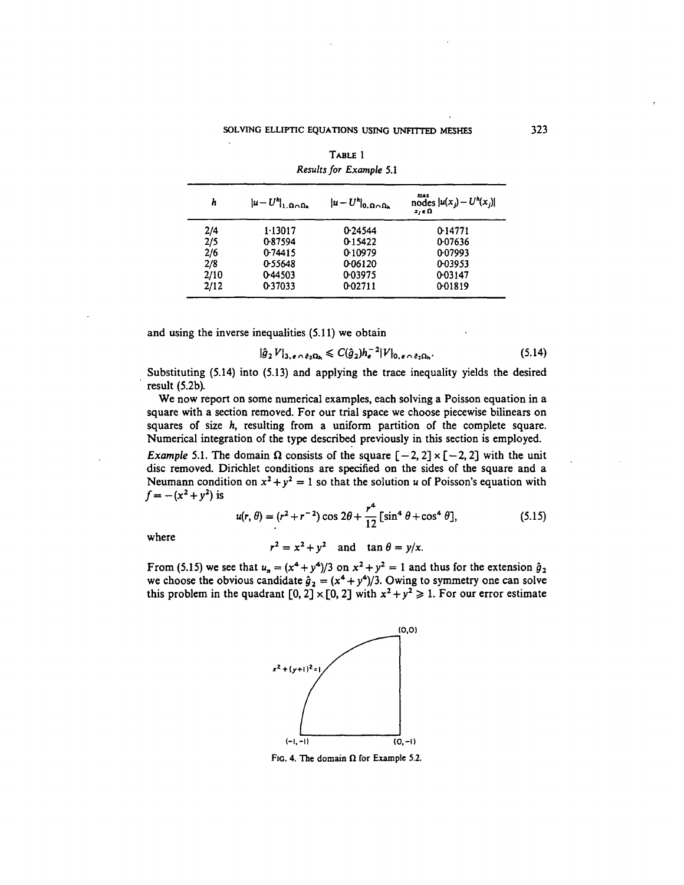| h    | $ u-U^h _{1,\Omega\cap\Omega_h}$ | $ u-U^h _{0,\Omega\cap\Omega_h}$ | $\frac{\text{max}}{\text{nodes}}  u(x_j) - U^h(x_j) $<br>$x_i \in \Omega$ |
|------|----------------------------------|----------------------------------|---------------------------------------------------------------------------|
| 2/4  | 1.13017                          | 0.24544                          | 0-14771                                                                   |
| 2/5  | 0-87594                          | 0-15422                          | 0.07636                                                                   |
| 2/6  | 0.74415                          | 0-10979                          | 0-07993                                                                   |
| 2/8  | 0.55648                          | 0-06120                          | 0-03953                                                                   |
| 2/10 | 0.44503                          | 0.03975                          | 0.03147                                                                   |
| 2/12 | 0.37033                          | 0-02711                          | 0.01819                                                                   |

|                         | TABLE 1 |  |
|-------------------------|---------|--|
| Results for Example 5.1 |         |  |

and using the inverse inequalities (5.11) we obtain

 $\mathbf{r}$ 

$$
\hat{g}_2 V|_{3,\epsilon \cap \partial_2 \Omega_h} \leqslant C(\hat{g}_2) h_e^{-2} |V|_{0,\epsilon \cap \partial_2 \Omega_h}.
$$
\n
$$
(5.14)
$$

Substituting (5.14) into (5.13) and applying the trace inequality yields the desired result (5.2b).

We now report on some numerical examples, each solving a Poisson equation in a square with a section removed. For our trial space we choose piecewise bilinears on squares of size *h,* resulting from a uniform partition of the complete square. Numerical integration of the type described previously in this section is employed.

*Example* 5.1. The domain  $\Omega$  consists of the square  $[-2, 2] \times [-2, 2]$  with the unit disc removed. Dirichlet conditions are specified on the sides of the square and a Neumann condition on  $x^2 + y^2 = 1$  so that the solution *u* of Poisson's equation with  $f = -(x^2 + y^2)$ 

$$
u(r,\theta) = (r^2 + r^{-2})\cos 2\theta + \frac{r^4}{12}[\sin^4 \theta + \cos^4 \theta],
$$
 (5.15)

where

$$
x^2 = x^2 + y^2
$$
 and  $\tan \theta = y/x$ .

From (5.15) we see that  $u_n = (x^4 + y^4)/3$  on  $x^2 + y^2 = 1$  and thus for the extension  $\hat{g}_2$ we choose the obvious candidate  $\hat{g}_2 = (x^4 + y^4)/3$ . Owing to symmetry one can solve this problem in the quadrant  $[0, 2] \times [0, 2]$  with  $x^2 + y^2 \ge 1$ . For our error estimate



FIG. 4. The domain  $\Omega$  for Example 5.2.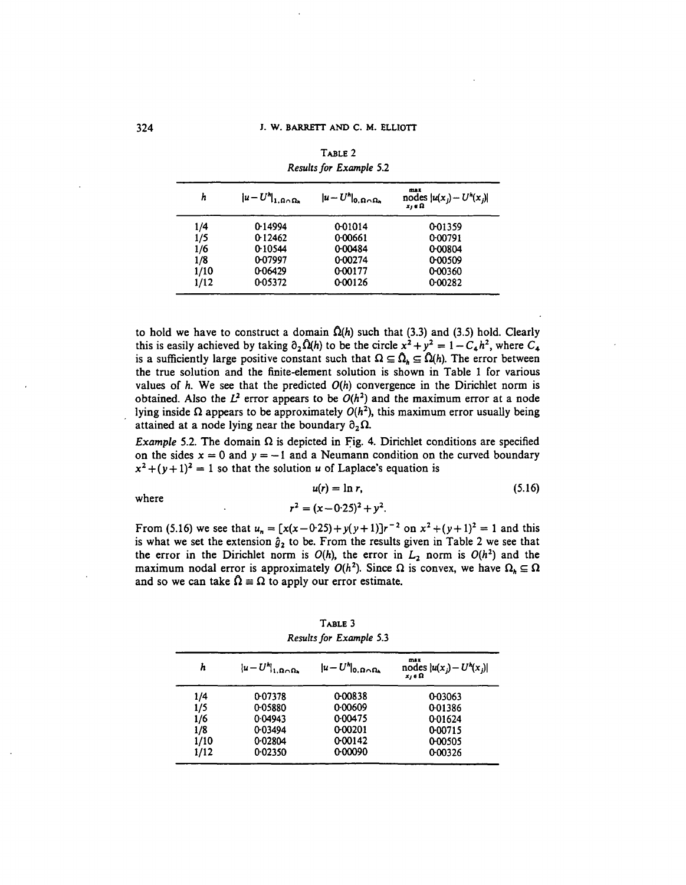| h    | $ u-U^h _{1,\Omega\cap\Omega_h}$ | $ u-U'' _{0,\Omega\cap\Omega_h}$ | max<br>nodes $ u(x_j) - U^h(x_j) $<br>$x_i \in \Omega$ |
|------|----------------------------------|----------------------------------|--------------------------------------------------------|
| 1/4  | 0-14994                          | 0.01014                          | 0.01359                                                |
| 1/5  | 0.12462                          | 0.00661                          | 0.00791                                                |
| 1/6  | 0-10544                          | 0-00484                          | 0-00804                                                |
| 1/8  | 0-07997                          | 0.00274                          | 0-00509                                                |
| 1/10 | 0-06429                          | 0.00177                          | 0.00360                                                |
| 1/12 | 0.05372                          | 0.00126                          | 0.00282                                                |

TABLE 2 *Results for Example* 5.2

to hold we have to construct a domain  $\Omega(h)$  such that (3.3) and (3.5) hold. Clearly this is easily achieved by taking  $\partial_2 \Omega(h)$  to be the circle  $x^2 + y^2 = 1 - C_4 h^2$ , where  $C_4$ is a sufficiently large positive constant such that  $\Omega \subseteq \hat{\Omega}_h \subseteq \hat{\Omega}(h)$ . The error between the true solution and the finite-element solution is shown in Table 1 for various values of  $h$ . We see that the predicted  $O(h)$  convergence in the Dirichlet norm is obtained. Also the  $L^2$  error appears to be  $O(h^2)$  and the maximum error at a node lying inside  $\Omega$  appears to be approximately  $O(h^2)$ , this maximum error usually being attained at a node lying near the boundary  $\partial_2\Omega$ .

*Example* 5.2. The domain  $\Omega$  is depicted in Fig. 4. Dirichlet conditions are specified on the sides  $x = 0$  and  $y = -1$  and a Neumann condition on the curved boundary  $x^2 + (y+1)^2 = 1$  so that the solution *u* of Laplace's equation is

$$
u(r) = \ln r, \tag{5.16}
$$

where

$$
r^2 = (x - 0.25)^2 + y^2.
$$

From (5.16) we see that  $u_n = [x(x-0.25) + y(y+1)]r^{-2}$  on  $x^2 + (y+1)^2 = 1$  and this is what we set the extension  $\hat{g}_2$  to be. From the results given in Table 2 we see that the error in the Dirichlet norm is  $O(h)$ , the error in  $L_2$  norm is  $O(h^2)$  and the maximum nodal error is approximately  $O(h^2)$ . Since  $\Omega$  is convex, we have  $\Omega_h \subseteq \Omega$ and so we can take  $\Omega = \Omega$  to apply our error estimate.

TABLE 3 *Results for Example* 5.3

| h    | $ u-U^h _{1,\Omega\cap\Omega_h}$ | $ u-U^h _{0,\Omega\cap\Omega_h}$ | max<br>nodes $ u(x_j) - U^h(x_j) $<br>$x_i \in \Omega$ |
|------|----------------------------------|----------------------------------|--------------------------------------------------------|
| 1/4  | 0.07378                          | 0-00838                          | 0-03063                                                |
| 1/5  | 0.05880                          | 0.00609                          | 0-01386                                                |
| 1/6  | 0.04943                          | 0.00475                          | 0.01624                                                |
| 1/8  | 0.03494                          | 0.00201                          | 0-00715                                                |
| 1/10 | 0.02804                          | 0.00142                          | 0-00505                                                |
| 1/12 | 0.02350                          | 0.00090                          | 0.00326                                                |